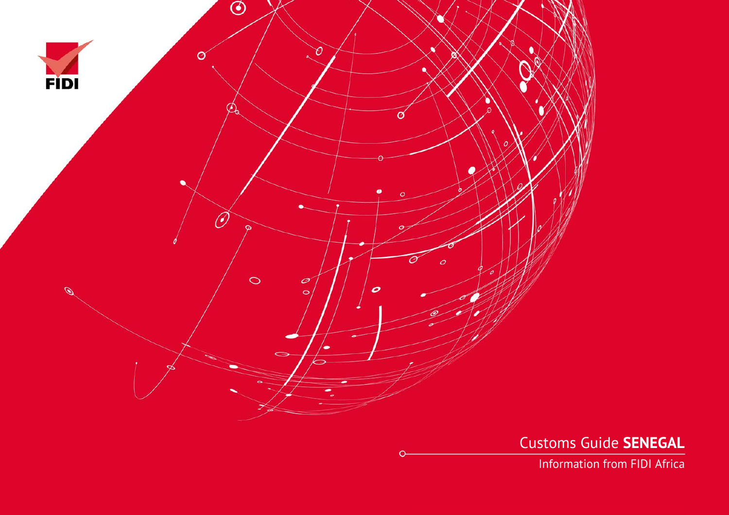

Customs Guide **SENEGAL**

Information from FIDI Africa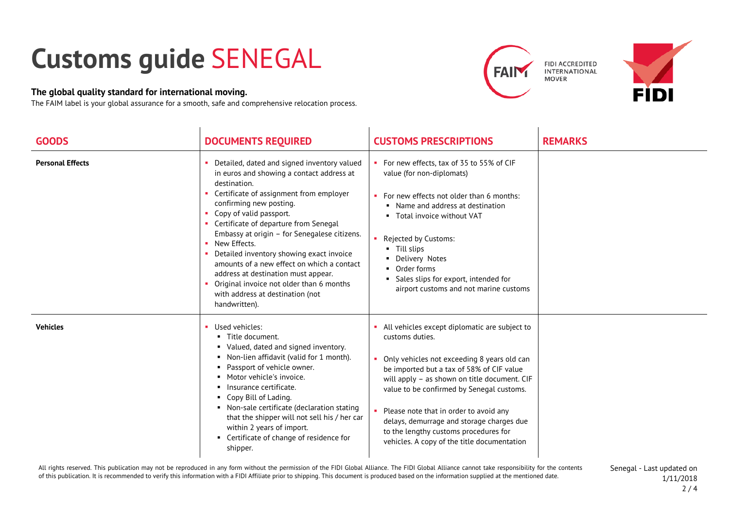## **Customs guide** SENEGAL

## **The global quality standard for international moving.**

The FAIM label is your global assurance for a smooth, safe and comprehensive relocation process.





| <b>GOODS</b>            | <b>DOCUMENTS REQUIRED</b>                                                                                                                                                                                                                                                                                                                                                                                                                                                                                                                                                | <b>CUSTOMS PRESCRIPTIONS</b>                                                                                                                                                                                                                                                                                                                                                                                                                 | <b>REMARKS</b> |
|-------------------------|--------------------------------------------------------------------------------------------------------------------------------------------------------------------------------------------------------------------------------------------------------------------------------------------------------------------------------------------------------------------------------------------------------------------------------------------------------------------------------------------------------------------------------------------------------------------------|----------------------------------------------------------------------------------------------------------------------------------------------------------------------------------------------------------------------------------------------------------------------------------------------------------------------------------------------------------------------------------------------------------------------------------------------|----------------|
| <b>Personal Effects</b> | Detailed, dated and signed inventory valued<br>in euros and showing a contact address at<br>destination.<br>Certificate of assignment from employer<br>confirming new posting.<br>Copy of valid passport.<br>• Certificate of departure from Senegal<br>Embassy at origin - for Senegalese citizens.<br>New Effects.<br>$\mathbf{u}$ .<br>Detailed inventory showing exact invoice<br>amounts of a new effect on which a contact<br>address at destination must appear.<br>Original invoice not older than 6 months<br>with address at destination (not<br>handwritten). | For new effects, tax of 35 to 55% of CIF<br>value (for non-diplomats)<br>For new effects not older than 6 months:<br>Name and address at destination<br>٠<br>Total invoice without VAT<br><b>Rejected by Customs:</b><br>Till slips<br>٠.<br>• Delivery Notes<br>Order forms<br>٠<br>Sales slips for export, intended for<br>airport customs and not marine customs                                                                          |                |
| <b>Vehicles</b>         | Used vehicles:<br>■ Title document.<br>• Valued, dated and signed inventory.<br>• Non-lien affidavit (valid for 1 month).<br>Passport of vehicle owner.<br>• Motor vehicle's invoice.<br>Insurance certificate.<br>• Copy Bill of Lading.<br>• Non-sale certificate (declaration stating<br>that the shipper will not sell his / her car<br>within 2 years of import.<br>• Certificate of change of residence for<br>shipper.                                                                                                                                            | All vehicles except diplomatic are subject to<br>customs duties.<br>• Only vehicles not exceeding 8 years old can<br>be imported but a tax of 58% of CIF value<br>will apply - as shown on title document. CIF<br>value to be confirmed by Senegal customs.<br>• Please note that in order to avoid any<br>delays, demurrage and storage charges due<br>to the lengthy customs procedures for<br>vehicles. A copy of the title documentation |                |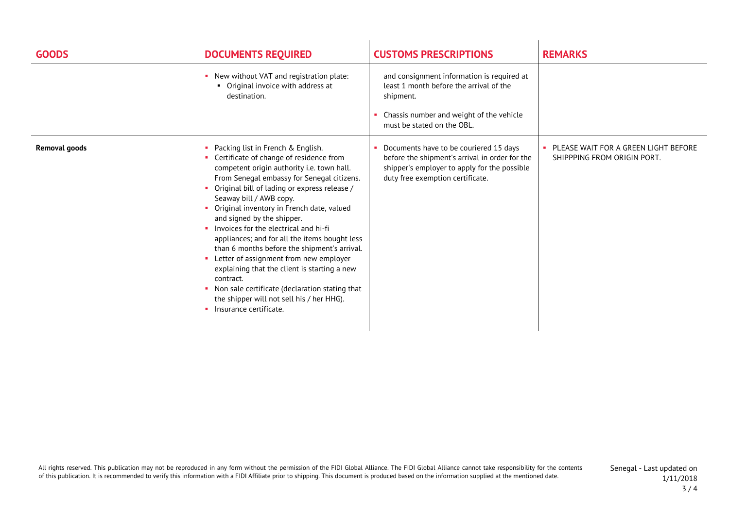| <b>GOODS</b>         | <b>DOCUMENTS REQUIRED</b>                                                                                                                                                                                                                                                                                                                                                                                                                                                                                                                                                                                                                                                                                          | <b>CUSTOMS PRESCRIPTIONS</b>                                                                                                                                                 | <b>REMARKS</b>                                                      |
|----------------------|--------------------------------------------------------------------------------------------------------------------------------------------------------------------------------------------------------------------------------------------------------------------------------------------------------------------------------------------------------------------------------------------------------------------------------------------------------------------------------------------------------------------------------------------------------------------------------------------------------------------------------------------------------------------------------------------------------------------|------------------------------------------------------------------------------------------------------------------------------------------------------------------------------|---------------------------------------------------------------------|
|                      | • New without VAT and registration plate:<br>• Original invoice with address at<br>destination.                                                                                                                                                                                                                                                                                                                                                                                                                                                                                                                                                                                                                    | and consignment information is required at<br>least 1 month before the arrival of the<br>shipment.<br>Chassis number and weight of the vehicle<br>must be stated on the OBL. |                                                                     |
| <b>Removal goods</b> | Packing list in French & English.<br>Certificate of change of residence from<br>competent origin authority i.e. town hall.<br>From Senegal embassy for Senegal citizens.<br>Original bill of lading or express release /<br>Seaway bill / AWB copy.<br>Original inventory in French date, valued<br>and signed by the shipper.<br>• Invoices for the electrical and hi-fi<br>appliances; and for all the items bought less<br>than 6 months before the shipment's arrival.<br>Letter of assignment from new employer<br>explaining that the client is starting a new<br>contract.<br>• Non sale certificate (declaration stating that<br>the shipper will not sell his / her HHG).<br>Insurance certificate.<br>п. | Documents have to be couriered 15 days<br>before the shipment's arrival in order for the<br>shipper's employer to apply for the possible<br>duty free exemption certificate. | PLEASE WAIT FOR A GREEN LIGHT BEFORE<br>SHIPPPING FROM ORIGIN PORT. |